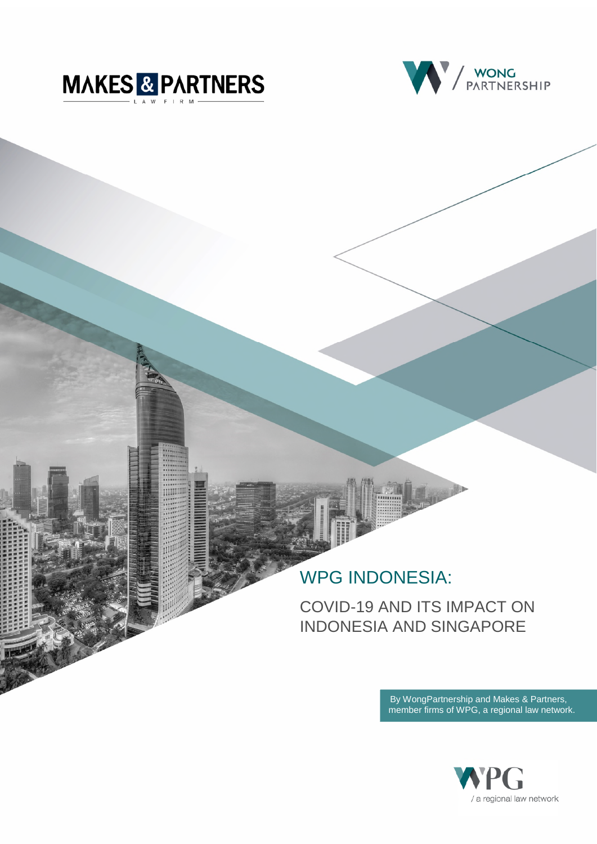



# WPG INDONESIA:

COVID-19 AND ITS IMPACT ON INDONESIA AND SINGAPORE

> By WongPartnership and Makes & Partners, member firms of WPG, a regional law network.

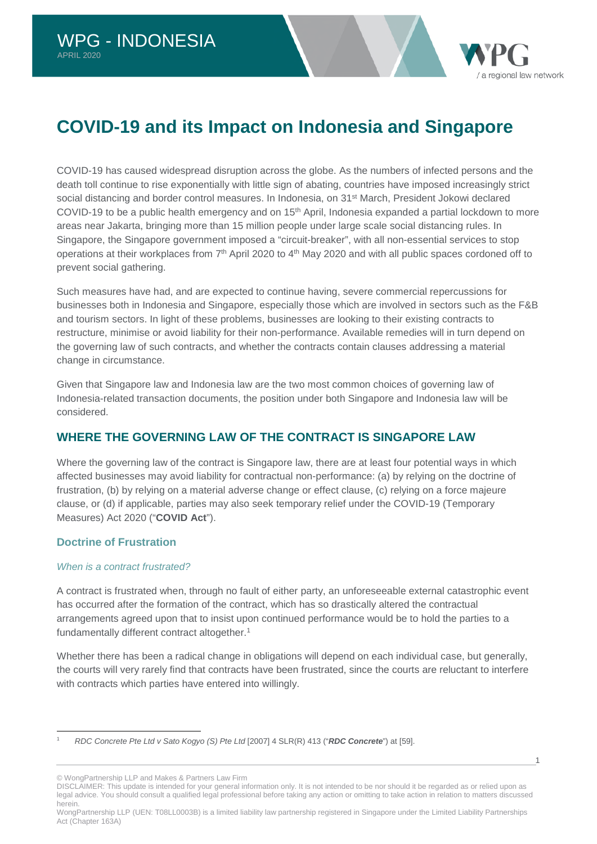# **COVID-19 and its Impact on Indonesia and Singapore**

COVID-19 has caused widespread disruption across the globe. As the numbers of infected persons and the death toll continue to rise exponentially with little sign of abating, countries have imposed increasingly strict social distancing and border control measures. In Indonesia, on 31st March, President Jokowi declared COVID-19 to be a public health emergency and on 15<sup>th</sup> April, Indonesia expanded a partial lockdown to more areas near Jakarta, bringing more than 15 million people under large scale social distancing rules. In Singapore, the Singapore government imposed a "circuit-breaker", with all non-essential services to stop operations at their workplaces from 7<sup>th</sup> April 2020 to 4<sup>th</sup> May 2020 and with all public spaces cordoned off to prevent social gathering.

Such measures have had, and are expected to continue having, severe commercial repercussions for businesses both in Indonesia and Singapore, especially those which are involved in sectors such as the F&B and tourism sectors. In light of these problems, businesses are looking to their existing contracts to restructure, minimise or avoid liability for their non-performance. Available remedies will in turn depend on the governing law of such contracts, and whether the contracts contain clauses addressing a material change in circumstance.

Given that Singapore law and Indonesia law are the two most common choices of governing law of Indonesia-related transaction documents, the position under both Singapore and Indonesia law will be considered.

# **WHERE THE GOVERNING LAW OF THE CONTRACT IS SINGAPORE LAW**

Where the governing law of the contract is Singapore law, there are at least four potential ways in which affected businesses may avoid liability for contractual non-performance: (a) by relying on the doctrine of frustration, (b) by relying on a material adverse change or effect clause, (c) relying on a force majeure clause, or (d) if applicable, parties may also seek temporary relief under the COVID-19 (Temporary Measures) Act 2020 ("**COVID Act**").

# **Doctrine of Frustration**

## *When is a contract frustrated?*

A contract is frustrated when, through no fault of either party, an unforeseeable external catastrophic event has occurred after the formation of the contract, which has so drastically altered the contractual arrangements agreed upon that to insist upon continued performance would be to hold the parties to a fundamentally different contract altogether.[1](#page-1-0)

Whether there has been a radical change in obligations will depend on each individual case, but generally, the courts will very rarely find that contracts have been frustrated, since the courts are reluctant to interfere with contracts which parties have entered into willingly.

© WongPartnership LLP and Makes & Partners Law Firm

DISCLAIMER: This update is intended for your general information only. It is not intended to be nor should it be regarded as or relied upon as legal advice. You should consult a qualified legal professional before taking any action or omitting to take action in relation to matters discussed herein.

1

a regional law network

WongPartnership LLP (UEN: T08LL0003B) is a limited liability law partnership registered in Singapore under the Limited Liability Partnerships Act (Chapter 163A)

<span id="page-1-0"></span><sup>1</sup> *RDC Concrete Pte Ltd v Sato Kogyo (S) Pte Ltd* [2007] 4 SLR(R) 413 ("*RDC Concrete*") at [59].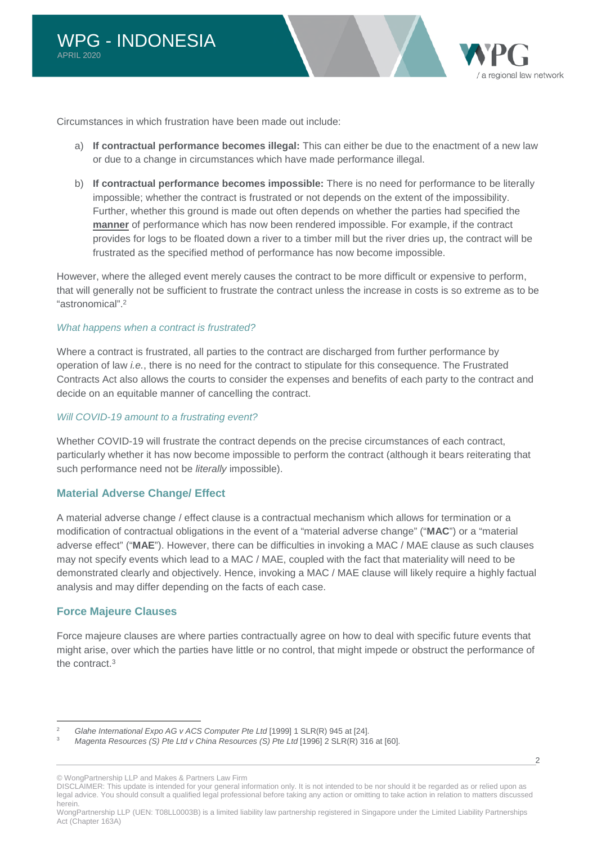

Circumstances in which frustration have been made out include:

- a) **If contractual performance becomes illegal:** This can either be due to the enactment of a new law or due to a change in circumstances which have made performance illegal.
- b) **If contractual performance becomes impossible:** There is no need for performance to be literally impossible; whether the contract is frustrated or not depends on the extent of the impossibility. Further, whether this ground is made out often depends on whether the parties had specified the **manner** of performance which has now been rendered impossible. For example, if the contract provides for logs to be floated down a river to a timber mill but the river dries up, the contract will be frustrated as the specified method of performance has now become impossible.

However, where the alleged event merely causes the contract to be more difficult or expensive to perform, that will generally not be sufficient to frustrate the contract unless the increase in costs is so extreme as to be "astronomical".[2](#page-2-0)

#### *What happens when a contract is frustrated?*

Where a contract is frustrated, all parties to the contract are discharged from further performance by operation of law *i.e.*, there is no need for the contract to stipulate for this consequence. The Frustrated Contracts Act also allows the courts to consider the expenses and benefits of each party to the contract and decide on an equitable manner of cancelling the contract.

#### *Will COVID-19 amount to a frustrating event?*

Whether COVID-19 will frustrate the contract depends on the precise circumstances of each contract, particularly whether it has now become impossible to perform the contract (although it bears reiterating that such performance need not be *literally* impossible).

## **Material Adverse Change/ Effect**

A material adverse change / effect clause is a contractual mechanism which allows for termination or a modification of contractual obligations in the event of a "material adverse change" ("**MAC**") or a "material adverse effect" ("**MAE**"). However, there can be difficulties in invoking a MAC / MAE clause as such clauses may not specify events which lead to a MAC / MAE, coupled with the fact that materiality will need to be demonstrated clearly and objectively. Hence, invoking a MAC / MAE clause will likely require a highly factual analysis and may differ depending on the facts of each case.

## **Force Majeure Clauses**

Force majeure clauses are where parties contractually agree on how to deal with specific future events that might arise, over which the parties have little or no control, that might impede or obstruct the performance of the contract.[3](#page-2-1)

© WongPartnership LLP and Makes & Partners Law Firm

DISCLAIMER: This update is intended for your general information only. It is not intended to be nor should it be regarded as or relied upon as legal advice. You should consult a qualified legal professional before taking any action or omitting to take action in relation to matters discussed herein.

WongPartnership LLP (UEN: T08LL0003B) is a limited liability law partnership registered in Singapore under the Limited Liability Partnerships Act (Chapter 163A)

<span id="page-2-1"></span><span id="page-2-0"></span><sup>&</sup>lt;sup>2</sup> Glahe International Expo AG v ACS Computer Pte Ltd [1999] 1 SLR(R) 945 at [24].<br><sup>3</sup> Megapte Beseurese (S) Dte Ltd y Chine Beseurese (S) Dte Ltd [1996] 3 SLB(R) 34.

<sup>3</sup> *Magenta Resources (S) Pte Ltd v China Resources (S) Pte Ltd* [1996] 2 SLR(R) 316 at [60].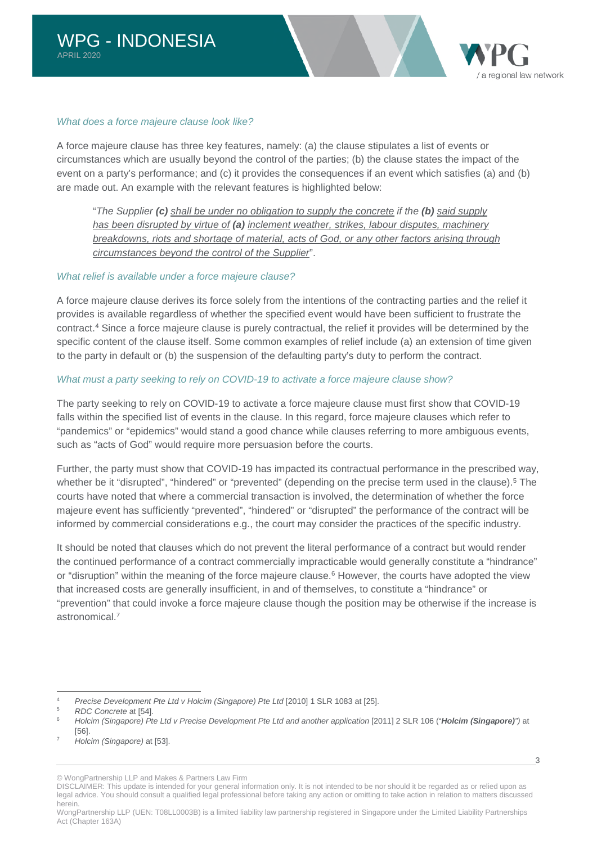

#### *What does a force majeure clause look like?*

A force majeure clause has three key features, namely: (a) the clause stipulates a list of events or circumstances which are usually beyond the control of the parties; (b) the clause states the impact of the event on a party's performance; and (c) it provides the consequences if an event which satisfies (a) and (b) are made out. An example with the relevant features is highlighted below:

"*The Supplier (c) shall be under no obligation to supply the concrete if the (b) said supply has been disrupted by virtue of (a) inclement weather, strikes, labour disputes, machinery breakdowns, riots and shortage of material, acts of God, or any other factors arising through circumstances beyond the control of the Supplier*".

#### *What relief is available under a force majeure clause?*

A force majeure clause derives its force solely from the intentions of the contracting parties and the relief it provides is available regardless of whether the specified event would have been sufficient to frustrate the contract.[4](#page-3-0) Since a force majeure clause is purely contractual, the relief it provides will be determined by the specific content of the clause itself. Some common examples of relief include (a) an extension of time given to the party in default or (b) the suspension of the defaulting party's duty to perform the contract.

#### *What must a party seeking to rely on COVID-19 to activate a force majeure clause show?*

The party seeking to rely on COVID-19 to activate a force majeure clause must first show that COVID-19 falls within the specified list of events in the clause. In this regard, force majeure clauses which refer to "pandemics" or "epidemics" would stand a good chance while clauses referring to more ambiguous events, such as "acts of God" would require more persuasion before the courts.

Further, the party must show that COVID-19 has impacted its contractual performance in the prescribed way, whether be it "disrupted", "hindered" or "prevented" (depending on the precise term used in the clause).<sup>[5](#page-3-1)</sup> The courts have noted that where a commercial transaction is involved, the determination of whether the force majeure event has sufficiently "prevented", "hindered" or "disrupted" the performance of the contract will be informed by commercial considerations e.g., the court may consider the practices of the specific industry.

It should be noted that clauses which do not prevent the literal performance of a contract but would render the continued performance of a contract commercially impracticable would generally constitute a "hindrance" or "disruption" within the meaning of the force majeure clause.<sup>[6](#page-3-2)</sup> However, the courts have adopted the view that increased costs are generally insufficient, in and of themselves, to constitute a "hindrance" or "prevention" that could invoke a force majeure clause though the position may be otherwise if the increase is astronomical.[7](#page-3-3)

DISCLAIMER: This update is intended for your general information only. It is not intended to be nor should it be regarded as or relied upon as legal advice. You should consult a qualified legal professional before taking any action or omitting to take action in relation to matters discussed herein.

<span id="page-3-1"></span><span id="page-3-0"></span><sup>&</sup>lt;sup>4</sup> *Precise Development Pte Ltd v Holcim (Singapore) Pte Ltd* [2010] 1 SLR 1083 at [25].

<span id="page-3-2"></span><sup>5</sup> *RDC Concrete* at [54].

<sup>6</sup> *Holcim (Singapore) Pte Ltd v Precise Development Pte Ltd and another application* [2011] 2 SLR 106 ("*Holcim (Singapore)")* at [56].

<span id="page-3-3"></span><sup>7</sup> *Holcim (Singapore)* at [53].

<sup>©</sup> WongPartnership LLP and Makes & Partners Law Firm

WongPartnership LLP (UEN: T08LL0003B) is a limited liability law partnership registered in Singapore under the Limited Liability Partnerships Act (Chapter 163A)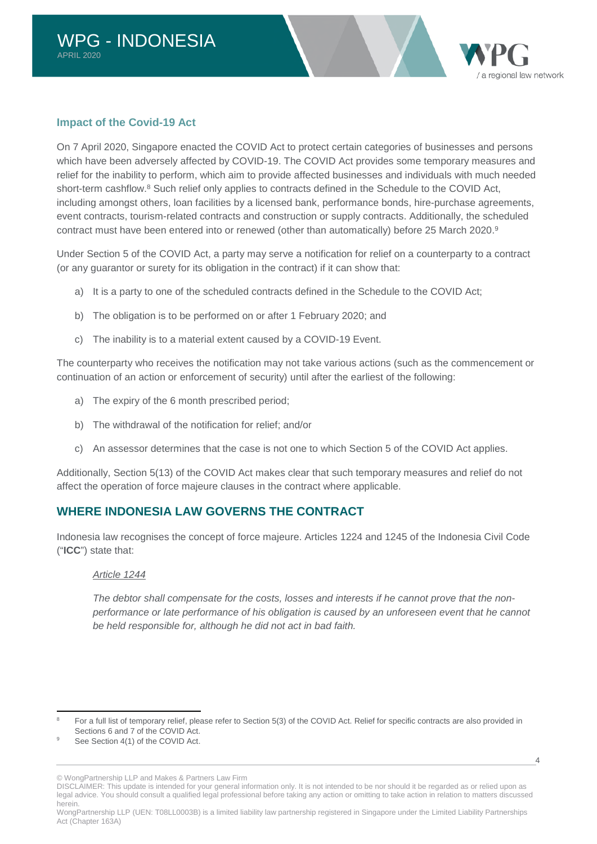

### **Impact of the Covid-19 Act**

On 7 April 2020, Singapore enacted the COVID Act to protect certain categories of businesses and persons which have been adversely affected by COVID-19. The COVID Act provides some temporary measures and relief for the inability to perform, which aim to provide affected businesses and individuals with much needed short-term cashflow.<sup>[8](#page-4-0)</sup> Such relief only applies to contracts defined in the Schedule to the COVID Act, including amongst others, loan facilities by a licensed bank, performance bonds, hire-purchase agreements, event contracts, tourism-related contracts and construction or supply contracts. Additionally, the scheduled contract must have been entered into or renewed (other than automatically) before 25 March 2020.<sup>[9](#page-4-1)</sup>

Under Section 5 of the COVID Act, a party may serve a notification for relief on a counterparty to a contract (or any guarantor or surety for its obligation in the contract) if it can show that:

- a) It is a party to one of the scheduled contracts defined in the Schedule to the COVID Act;
- b) The obligation is to be performed on or after 1 February 2020; and
- c) The inability is to a material extent caused by a COVID-19 Event.

The counterparty who receives the notification may not take various actions (such as the commencement or continuation of an action or enforcement of security) until after the earliest of the following:

- a) The expiry of the 6 month prescribed period;
- b) The withdrawal of the notification for relief; and/or
- c) An assessor determines that the case is not one to which Section 5 of the COVID Act applies.

Additionally, Section 5(13) of the COVID Act makes clear that such temporary measures and relief do not affect the operation of force majeure clauses in the contract where applicable.

# **WHERE INDONESIA LAW GOVERNS THE CONTRACT**

Indonesia law recognises the concept of force majeure. Articles 1224 and 1245 of the Indonesia Civil Code ("**ICC**") state that:

#### *Article 1244*

*The debtor shall compensate for the costs, losses and interests if he cannot prove that the non*performance or late performance of his obligation is caused by an unforeseen event that he cannot *be held responsible for, although he did not act in bad faith.* 

DISCLAIMER: This update is intended for your general information only. It is not intended to be nor should it be regarded as or relied upon as legal advice. You should consult a qualified legal professional before taking any action or omitting to take action in relation to matters discussed herein.

<span id="page-4-0"></span><sup>8</sup> For a full list of temporary relief, please refer to Section 5(3) of the COVID Act. Relief for specific contracts are also provided in Sections 6 and 7 of the COVID Act.

<span id="page-4-1"></span><sup>9</sup> See Section 4(1) of the COVID Act.

<sup>©</sup> WongPartnership LLP and Makes & Partners Law Firm

WongPartnership LLP (UEN: T08LL0003B) is a limited liability law partnership registered in Singapore under the Limited Liability Partnerships Act (Chapter 163A)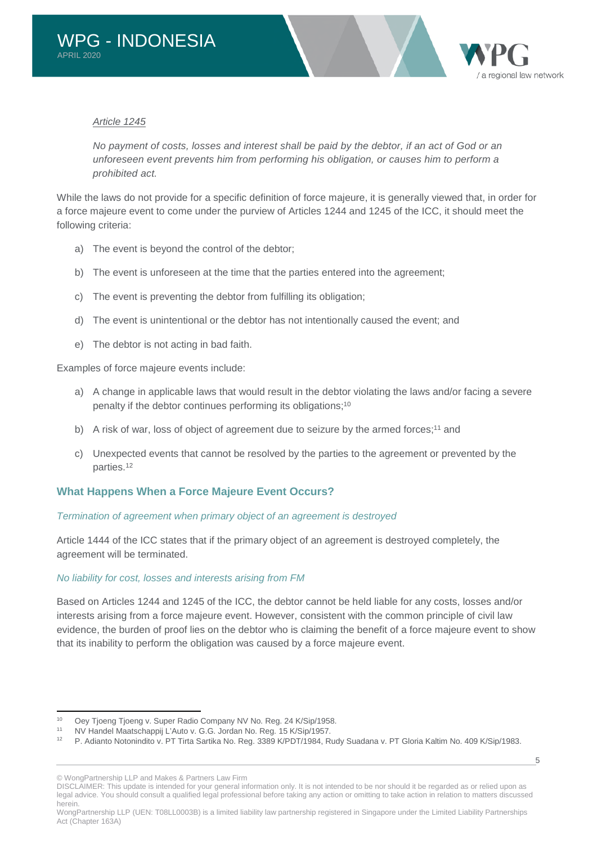

#### *Article 1245*

*No payment of costs, losses and interest shall be paid by the debtor, if an act of God or an unforeseen event prevents him from performing his obligation, or causes him to perform a prohibited act.* 

While the laws do not provide for a specific definition of force majeure, it is generally viewed that, in order for a force majeure event to come under the purview of Articles 1244 and 1245 of the ICC, it should meet the following criteria:

- a) The event is beyond the control of the debtor;
- b) The event is unforeseen at the time that the parties entered into the agreement;
- c) The event is preventing the debtor from fulfilling its obligation;
- d) The event is unintentional or the debtor has not intentionally caused the event; and
- e) The debtor is not acting in bad faith.

Examples of force majeure events include:

- a) A change in applicable laws that would result in the debtor violating the laws and/or facing a severe penalty if the debtor continues performing its obligations;<sup>[10](#page-5-0)</sup>
- b) A risk of war, loss of object of agreement due to seizure by the armed forces;<sup>[11](#page-5-1)</sup> and
- c) Unexpected events that cannot be resolved by the parties to the agreement or prevented by the parties.[12](#page-5-2)

## **What Happens When a Force Majeure Event Occurs?**

#### *Termination of agreement when primary object of an agreement is destroyed*

Article 1444 of the ICC states that if the primary object of an agreement is destroyed completely, the agreement will be terminated.

#### *No liability for cost, losses and interests arising from FM*

Based on Articles 1244 and 1245 of the ICC, the debtor cannot be held liable for any costs, losses and/or interests arising from a force majeure event. However, consistent with the common principle of civil law evidence, the burden of proof lies on the debtor who is claiming the benefit of a force majeure event to show that its inability to perform the obligation was caused by a force majeure event.

© WongPartnership LLP and Makes & Partners Law Firm

<span id="page-5-0"></span><sup>10</sup> Oey Tjoeng Tjoeng v. Super Radio Company NV No. Reg. 24 K/Sip/1958.<br>11 NJ/ Handel Mestechannii L'Auto v. C.C. Jarden No. Beg. 45 K/Sip/1957.

<span id="page-5-2"></span><span id="page-5-1"></span><sup>11</sup> NV Handel Maatschappij L'Auto v. G.G. Jordan No. Reg. 15 K/Sip/1957.<br>12 D. Adianto Notonindito v. PT Titto Sartika No. Reg. 3380 K/PDT/1084, R

<sup>12</sup> P. Adianto Notonindito v. PT Tirta Sartika No. Reg. 3389 K/PDT/1984, Rudy Suadana v. PT Gloria Kaltim No. 409 K/Sip/1983.

DISCLAIMER: This update is intended for your general information only. It is not intended to be nor should it be regarded as or relied upon as legal advice. You should consult a qualified legal professional before taking any action or omitting to take action in relation to matters discussed herein.

WongPartnership LLP (UEN: T08LL0003B) is a limited liability law partnership registered in Singapore under the Limited Liability Partnerships Act (Chapter 163A)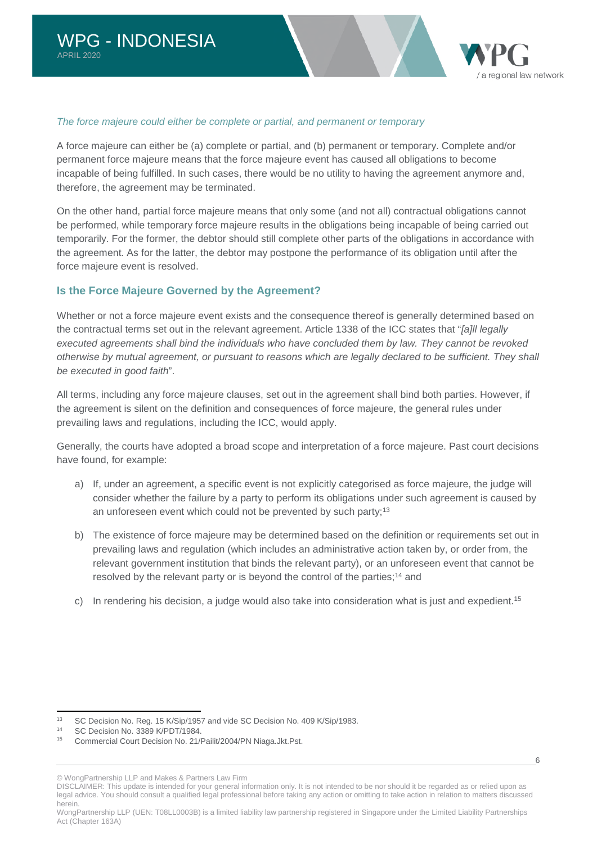

#### *The force majeure could either be complete or partial, and permanent or temporary*

A force majeure can either be (a) complete or partial, and (b) permanent or temporary. Complete and/or permanent force majeure means that the force majeure event has caused all obligations to become incapable of being fulfilled. In such cases, there would be no utility to having the agreement anymore and, therefore, the agreement may be terminated.

On the other hand, partial force majeure means that only some (and not all) contractual obligations cannot be performed, while temporary force majeure results in the obligations being incapable of being carried out temporarily. For the former, the debtor should still complete other parts of the obligations in accordance with the agreement. As for the latter, the debtor may postpone the performance of its obligation until after the force majeure event is resolved.

### **Is the Force Majeure Governed by the Agreement?**

Whether or not a force majeure event exists and the consequence thereof is generally determined based on the contractual terms set out in the relevant agreement. Article 1338 of the ICC states that "*[a]ll legally executed agreements shall bind the individuals who have concluded them by law. They cannot be revoked otherwise by mutual agreement, or pursuant to reasons which are legally declared to be sufficient. They shall be executed in good faith*".

All terms, including any force majeure clauses, set out in the agreement shall bind both parties. However, if the agreement is silent on the definition and consequences of force majeure, the general rules under prevailing laws and regulations, including the ICC, would apply.

Generally, the courts have adopted a broad scope and interpretation of a force majeure. Past court decisions have found, for example:

- a) If, under an agreement, a specific event is not explicitly categorised as force majeure, the judge will consider whether the failure by a party to perform its obligations under such agreement is caused by an unforeseen event which could not be prevented by such party;<sup>[13](#page-6-0)</sup>
- b) The existence of force majeure may be determined based on the definition or requirements set out in prevailing laws and regulation (which includes an administrative action taken by, or order from, the relevant government institution that binds the relevant party), or an unforeseen event that cannot be resolved by the relevant party or is beyond the control of the parties:<sup>[14](#page-6-1)</sup> and
- c) In rendering his decision, a judge would also take into consideration what is just and expedient.[15](#page-6-2)

<span id="page-6-0"></span><sup>&</sup>lt;sup>13</sup> SC Decision No. Reg. 15 K/Sip/1957 and vide SC Decision No. 409 K/Sip/1983.

<span id="page-6-2"></span><span id="page-6-1"></span><sup>&</sup>lt;sup>14</sup> SC Decision No. 3389 K/PDT/1984.<br><sup>15</sup> Commorcial Court Decision No. 21/

<sup>15</sup> Commercial Court Decision No. 21/Pailit/2004/PN Niaga.Jkt.Pst.

<sup>©</sup> WongPartnership LLP and Makes & Partners Law Firm

DISCLAIMER: This update is intended for your general information only. It is not intended to be nor should it be regarded as or relied upon as legal advice. You should consult a qualified legal professional before taking any action or omitting to take action in relation to matters discussed herein.

WongPartnership LLP (UEN: T08LL0003B) is a limited liability law partnership registered in Singapore under the Limited Liability Partnerships Act (Chapter 163A)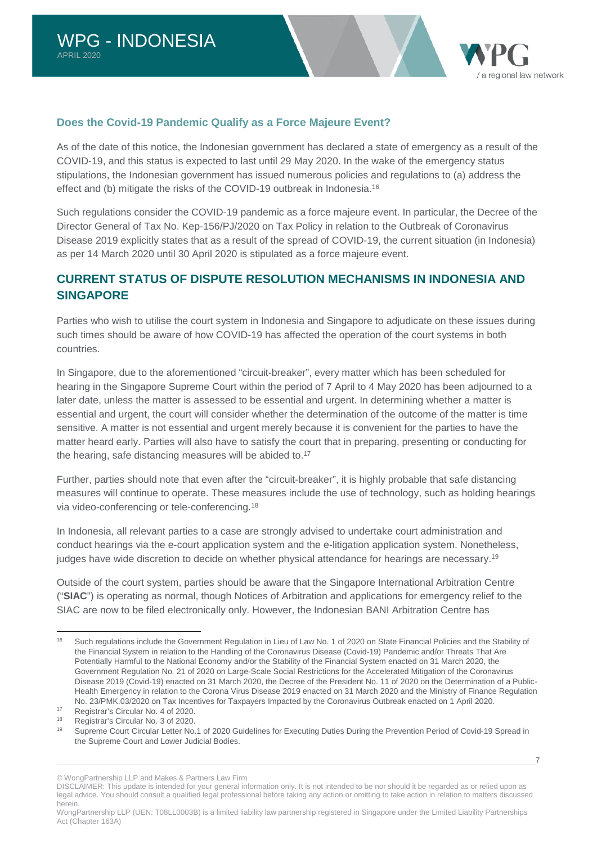

## **Does the Covid-19 Pandemic Qualify as a Force Majeure Event?**

As of the date of this notice, the Indonesian government has declared a state of emergency as a result of the COVID-19, and this status is expected to last until 29 May 2020. In the wake of the emergency status stipulations, the Indonesian government has issued numerous policies and regulations to (a) address the effect and (b) mitigate the risks of the COVID-19 outbreak in Indonesia.<sup>[16](#page-7-0)</sup>

Such regulations consider the COVID-19 pandemic as a force majeure event. In particular, the Decree of the Director General of Tax No. Kep-156/PJ/2020 on Tax Policy in relation to the Outbreak of Coronavirus Disease 2019 explicitly states that as a result of the spread of COVID-19, the current situation (in Indonesia) as per 14 March 2020 until 30 April 2020 is stipulated as a force majeure event.

# **CURRENT STATUS OF DISPUTE RESOLUTION MECHANISMS IN INDONESIA AND SINGAPORE**

Parties who wish to utilise the court system in Indonesia and Singapore to adjudicate on these issues during such times should be aware of how COVID-19 has affected the operation of the court systems in both countries.

In Singapore, due to the aforementioned "circuit-breaker", every matter which has been scheduled for hearing in the Singapore Supreme Court within the period of 7 April to 4 May 2020 has been adjourned to a later date, unless the matter is assessed to be essential and urgent. In determining whether a matter is essential and urgent, the court will consider whether the determination of the outcome of the matter is time sensitive. A matter is not essential and urgent merely because it is convenient for the parties to have the matter heard early. Parties will also have to satisfy the court that in preparing, presenting or conducting for the hearing, safe distancing measures will be abided to.<sup>[17](#page-7-1)</sup>

Further, parties should note that even after the "circuit-breaker", it is highly probable that safe distancing measures will continue to operate. These measures include the use of technology, such as holding hearings via video-conferencing or tele-conferencing.[18](#page-7-2)

In Indonesia, all relevant parties to a case are strongly advised to undertake court administration and conduct hearings via the e-court application system and the e-litigation application system. Nonetheless, judges have wide discretion to decide on whether physical attendance for hearings are necessary.[19](#page-7-3)

Outside of the court system, parties should be aware that the Singapore International Arbitration Centre ("**SIAC**") is operating as normal, though Notices of Arbitration and applications for emergency relief to the SIAC are now to be filed electronically only. However, the Indonesian BANI Arbitration Centre has

<span id="page-7-0"></span><sup>&</sup>lt;sup>16</sup> Such regulations include the Government Regulation in Lieu of Law No. 1 of 2020 on State Financial Policies and the Stability of the Financial System in relation to the Handling of the Coronavirus Disease (Covid-19) Pandemic and/or Threats That Are Potentially Harmful to the National Economy and/or the Stability of the Financial System enacted on 31 March 2020, the Government Regulation No. 21 of 2020 on Large-Scale Social Restrictions for the Accelerated Mitigation of the Coronavirus Disease 2019 (Covid-19) enacted on 31 March 2020, the Decree of the President No. 11 of 2020 on the Determination of a Public-Health Emergency in relation to the Corona Virus Disease 2019 enacted on 31 March 2020 and the Ministry of Finance Regulation No. 23/PMK.03/2020 on Tax Incentives for Taxpayers Impacted by the Coronavirus Outbreak enacted on 1 April 2020.

<span id="page-7-2"></span><span id="page-7-1"></span><sup>17</sup> Registrar's Circular No. 4 of 2020.

<span id="page-7-3"></span><sup>&</sup>lt;sup>18</sup> Registrar's Circular No. 3 of 2020.<br><sup>19</sup> Supreme Court Circular Lotter No.

Supreme Court Circular Letter No.1 of 2020 Guidelines for Executing Duties During the Prevention Period of Covid-19 Spread in the Supreme Court and Lower Judicial Bodies.

<sup>©</sup> WongPartnership LLP and Makes & Partners Law Firm

DISCLAIMER: This update is intended for your general information only. It is not intended to be nor should it be regarded as or relied upon as legal advice. You should consult a qualified legal professional before taking any action or omitting to take action in relation to matters discussed herein.

WongPartnership LLP (UEN: T08LL0003B) is a limited liability law partnership registered in Singapore under the Limited Liability Partnerships Act (Chapter 163A)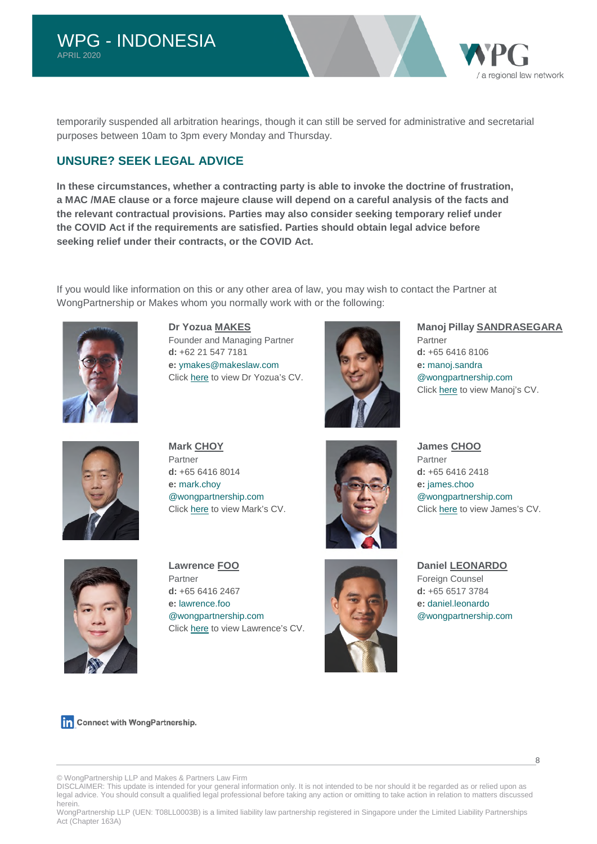temporarily suspended all arbitration hearings, though it can still be served for administrative and secretarial purposes between 10am to 3pm every Monday and Thursday.

# **UNSURE? SEEK LEGAL ADVICE**

**In these circumstances, whether a contracting party is able to invoke the doctrine of frustration, a MAC /MAE clause or a force majeure clause will depend on a careful analysis of the facts and the relevant contractual provisions. Parties may also consider seeking temporary relief under the COVID Act if the requirements are satisfied. Parties should obtain legal advice before seeking relief under their contracts, or the COVID Act.** 

If you would like information on this or any other area of law, you may wish to contact the Partner at WongPartnership or Makes whom you normally work with or the following:



**Dr Yozua MAKES**  Founder and Managing Partner **d:** +62 21 547 7181 **e:** [ymakes@makeslaw.com](mailto:ymakes@makeslaw.com) Click [here](http://www.makeslaw.com/people/Dr.-Yozua-Makes,-S.H.,-LL.M.,-M.M.-1) to view Dr Yozua's CV.



#### **Manoj Pillay SANDRASEGARA**

a regional law network

Partner **d:** +65 6416 8106 **e:** [manoj.sandra](mailto:manoj.sandra@wongpartnership.com) [@wongpartnership.com](mailto:manoj.sandra@wongpartnership.com) Click [here](https://www.wongpartnership.com/people/detail/manoj-pillay-sandrasegara) to view Manoj's CV.



**Mark CHOY**  Partner **d:** +65 6416 8014 **e:** [mark.choy](mailto:mark.choy@wongpartnership.com) [@wongpartnership.com](mailto:mark.choy@wongpartnership.com) Click [here](https://www.wongpartnership.com/people/detail/mark-choy) to view Mark's CV.



**James CHOO**  Partner **d:** +65 6416 2418 **e:** [james.choo](mailto:james.choo@wongpartnership.com)  [@wongpartnership.com](mailto:james.choo@wongpartnership.com) Click [here](https://www.wongpartnership.com/people/detail/james-choo) to view James's CV.



**Lawrence FOO**  Partner **d:** +65 6416 2467 **e:** [lawrence.foo](mailto:lawrence.foo@wongpartnership.com)  [@wongpartnership.com](mailto:lawrence.foo@wongpartnership.com) Click [here](https://www.wongpartnership.com/people/detail/lawrence-foo) to view Lawrence's CV.



**Daniel LEONARDO**  Foreign Counsel **d:** +65 6517 3784 **e:** [daniel.leonardo](mailto:daniel.leonardo@wongpartnership.com) [@wongpartnership.com](mailto:daniel.leonardo@wongpartnership.com)

Connect with WongPartnership.

© WongPartnership LLP and Makes & Partners Law Firm

DISCLAIMER: This update is intended for your general information only. It is not intended to be nor should it be regarded as or relied upon as legal advice. You should consult a qualified legal professional before taking any action or omitting to take action in relation to matters discussed herein.

WongPartnership LLP (UEN: T08LL0003B) is a limited liability law partnership registered in Singapore under the Limited Liability Partnerships Act (Chapter 163A)